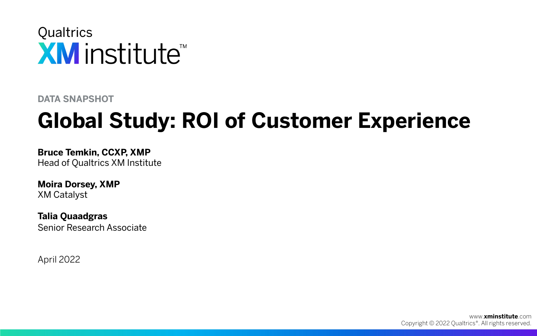

**DATA SNAPSHOT**

# **Global Study: ROI of Customer Experience**

**Bruce Temkin, CCXP, XMP** Head of Qualtrics XM Institute

**Moira Dorsey, XMP** XM Catalyst

**Talia Quaadgras** Senior Research Associate

April 2022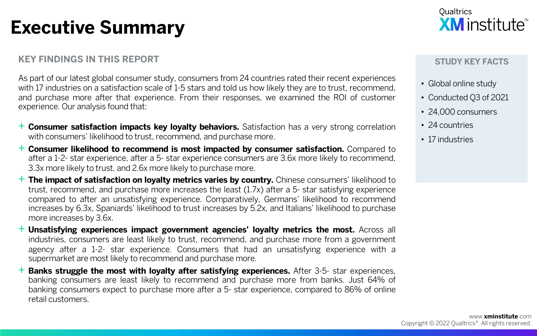# **Executive Summary**

### **KEY FINDINGS IN THIS REPORT**

As part of our latest global consumer study, consumers from 24 countries rated their recent experiences with 17 industries on a satisfaction scale of 1-5 stars and told us how likely they are to trust, recommend, and purchase more after that experience. From their responses, we examined the ROI of customer experience. Our analysis found that:

- + **Consumer satisfaction impacts key loyalty behaviors.** Satisfaction has <sup>a</sup> very strong correlation with consumers' likelihood to trust, recommend, and purchase more.
- + **Consumer likelihood to recommend is most impacted by consumer satisfaction.** Compared to after a 1-2- star experience, after a 5- star experience consumers are 3.6x more likely to recommend, 3.3x more likely to trust, and 2.6x more likely to purchase more.
- + **The impact of satisfaction on loyalty metrics varies by country.** Chinese consumers' likelihood to trust, recommend, and purchase more increases the least (1.7x) after a 5- star satisfying experience compared to after an unsatisfying experience. Comparatively, Germans' likelihood to recommend increases by 6.3x, Spaniards' likelihood to trust increases by 5.2x, and Italians' likelihood to purchase more increases by 3.6x.
- + **Unsatisfying experiences impact government agencies' loyalty metrics the most.** Across all industries, consumers are least likely to trust, recommend, and purchase more from a government agency after a 1-2- star experience. Consumers that had an unsatisfying experience with a supermarket are most likely to recommend and purchase more.
- + **Banks struggle the most with loyalty after satisfying experiences.** After 3-5- star experiences, banking consumers are least likely to recommend and purchase more from banks. Just 64% of banking consumers expect to purchase more after a 5- star experience, compared to 86% of online retail customers.



#### **STUDY KEY FACTS**

- Global online study
- Conducted Q3 of 2021
- 24,000 consumers
- 24 countries
- 17 industries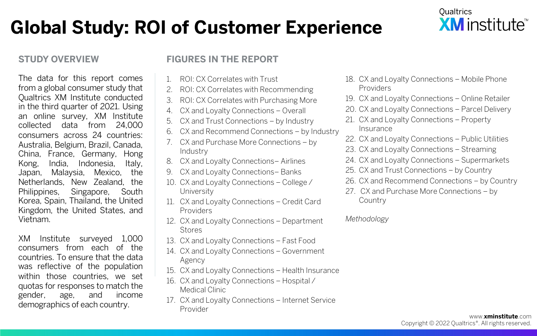# **Global Study: ROI of Customer Experience**

### **STUDY OVERVIEW**

The data for this report comes from a global consumer study that Qualtrics XM Institute conducted in the third quarter of 2021. Using an online survey, XM Institute collected data from 24,000 consumers across 24 countries: Australia, Belgium, Brazil, Canada, China, France, Germany, Hong Kong, India, Indonesia, Italy, Japan, Malaysia, Mexico, the Netherlands, New Zealand, the Philippines, Singapore, South Korea, Spain, Thailand, the United Kingdom, the United States, and Vietnam.

XM Institute surveyed 1,000 consumers from each of the countries. To ensure that the data was reflective of the population within those countries, we set quotas for responses to match the gender, age, and income demographics of each country.

### **FIGURES IN THE REPORT**

- 1. ROI: CX Correlates with Trust
- 2. ROI: CX Correlates with Recommending
- 3. ROI: CX Correlates with Purchasing More
- 4. CX and Loyalty Connections Overall
- 5. CX and Trust Connections by Industry
- 6. CX and Recommend Connections by Industry
- 7. CX and Purchase More Connections by Industry
- 8. CX and Loyalty Connections– Airlines
- 9. CX and Loyalty Connections– Banks
- 10. CX and Loyalty Connections College / University
- 11. CX and Loyalty Connections Credit Card Providers
- 12. CX and Loyalty Connections Department Stores
- 13. CX and Loyalty Connections Fast Food
- 14. CX and Loyalty Connections Government Agency
- 15. CX and Loyalty Connections Health Insurance
- 16. CX and Loyalty Connections Hospital / Medical Clinic
- 17. CX and Loyalty Connections Internet Service Provider



- 18. CX and Loyalty Connections Mobile Phone Providers
- 19. CX and Loyalty Connections Online Retailer
- 20. CX and Loyalty Connections Parcel Delivery
- 21. CX and Loyalty Connections Property Insurance
- 22. CX and Loyalty Connections Public Utilities
- 23. CX and Loyalty Connections Streaming
- 24. CX and Loyalty Connections Supermarkets
- 25. CX and Trust Connections by Country
- 26. CX and Recommend Connections by Country
- 27. CX and Purchase More Connections by **Country**

*Methodology*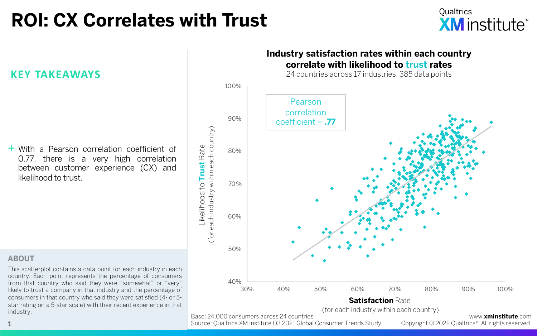# **ROI: CX Correlates with Trust**



**KEY TAKEAWAYS**

+ With <sup>a</sup> Pearson correlation coefficient of 0.77, there is a very high correlation between customer experience (CX) and likelihood to trust.

# (for each industry within each country) (for each industry within each country) Likelihood to **Trust** Rate Likelihood to Trust Rate

#### **ABOUT**

This scatterplot contains a data point for each industry in each country. Each point represents the percentage of consumers from that country who said they were "somewhat" or "very" likely to trust a company in that industry and the percentage of consumers in that country who said they were satisfied (4- or 5 star rating on a 5-star scale) with their recent experience in that industry.

### **Industry satisfaction rates within each country correlate with likelihood to trust rates**

24 countries across 17 industries, 385 data points



Base: 24,000 consumers across 24 countries

Source: Qualtrics XM Institute Q3 2021 Global Consumer Trends Study **1** Copyright © 2022 Qualtrics®. All rights reserved.

www.**xminstitute**.com<br>.Copyright © 2022 Qualtrics®. All rights reserved

*.*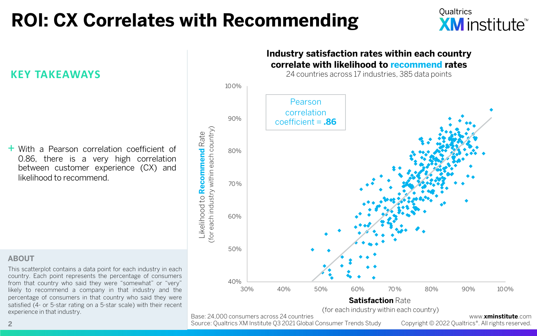# **ROI: CX Correlates with Recommending**



### **KEY TAKEAWAYS**

+ With <sup>a</sup> Pearson correlation coefficient of 0.86, there is a very high correlation between customer experience (CX) and likelihood to recommend.

(for each industry within each country) (for each industry within each country) Likelihood to **Recommend** Rate Likelihood to Recommend Rate

#### **ABOUT**

This scatterplot contains a data point for each industry in each country. Each point represents the percentage of consumers from that country who said they were "somewhat" or "very" likely to recommend a company in that industry and the percentage of consumers in that country who said they were satisfied (4- or 5-star rating on a 5-star scale) with their recent experience in that industry.



(for each industry within each country)

Base: 24,000 consumers across 24 countries

Source: Qualtrics XM Institute Q3 2021 Global Consumer Trends Study **2** Copyright © 2022 Qualtrics®. All rights reserved.

www.**xminstitute**.com<br>Copyright © 2022 Oualtrics®. All rights reserved.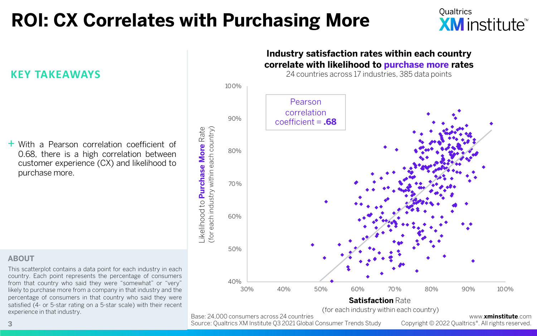# **ROI: CX Correlates with Purchasing More**



### **KEY TAKEAWAYS**

+ With <sup>a</sup> Pearson correlation coefficient of 0.68, there is a high correlation between customer experience (CX) and likelihood to purchase more.

Likelihood to **Purchase More** Rate -ikelihood to Purchase More Rate (for each industry within each country)

#### **ABOUT**

This scatterplot contains a data point for each industry in each country. Each point represents the percentage of consumers from that country who said they were "somewhat" or "very" likely to purchase more from a company in that industry and the percentage of consumers in that country who said they were satisfied (4- or 5-star rating on a 5-star scale) with their recent experience in that industry.



(for each industry within each country)

Base: 24,000 consumers across 24 countries

Source: Qualtrics XM Institute Q3 2021 Global Consumer Trends Study **3** Copyright © 2022 Qualtrics®. All rights reserved.

www.**xminstitute**.com<br>Copyright © 2022 Oualtrics®. All rights reserved.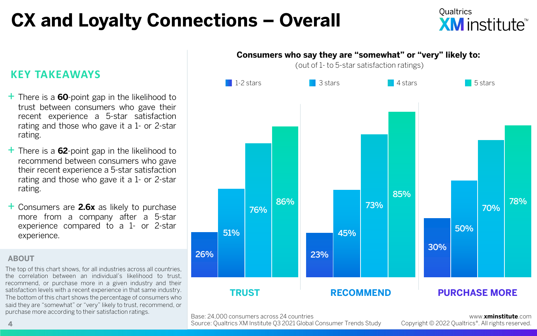# **CX and Loyalty Connections – Overall**

## **KEY TAKEAWAYS**

- + There is <sup>a</sup> **<sup>60</sup>**-point gap in the likelihood to trust between consumers who gave their recent experience a 5-star satisfaction rating and those who gave it a 1- or 2-star rating.
- + There is <sup>a</sup> **<sup>62</sup>**-point gap in the likelihood to recommend between consumers who gave their recent experience a 5-star satisfaction rating and those who gave it a 1- or 2-star rating.
- + Consumers are **2.6x** as likely to purchase more from a company after a 5-star experience compared to a 1- or 2-star experience.

### **ABOUT**

The top of this chart shows, for all industries across all countries, the correlation between an individual's likelihood to trust, recommend, or purchase more in a given industry and their satisfaction levels with a recent experience in that same industry. The bottom of this chart shows the percentage of consumers who said they are "somewhat" or "very" likely to trust, recommend, or purchase more according to their satisfaction ratings. www.**xminstitute**.com



Base: 24,000 consumers across 24 countries

Source: Qualtrics XM Institute Q3 2021 Global Consumer Trends Study

Copyright © 2022 Qualtrics®. All rights reserved.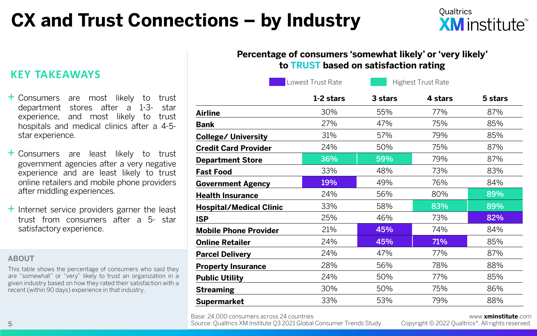# **CX and Trust Connections – by Industry**



### **Percentage of consumers 'somewhat likely' or 'very likely' to TRUST based on satisfaction rating**

**1-2 stars 3 stars 4 stars 5 stars Airline** 30% 55% 77% 87% **Bank** 27% 47% 75% 85% **College/ University** 31% 57% 79% 85% **Credit Card Provider** 24% 50% 75% 87% **Department Store 36% | 59% | 79% 87% Fast Food** 83% 48% 73% 83% **Government Agency 19% 19% 49% 76% 84% Health Insurance** 24% 56% 80% 89% **Hospital/Medical Clinic**  $33\%$  58% 83% 83% 89% **ISP 2**5% 46% 73% 82% **Mobile Phone Provider** 21% 45% 74% 84% **Online Retailer 24% 45% 1 71% 85% Parcel Delivery** 24% 47% 77% 87% **Property Insurance** 28% 56% 78% 88% **Public Utility** 24% 50% 77% 85% **Streaming** 30% 50% 75% 86% **Supermarket** 33% 53% 79% 88% Lowest Trust Rate **Highest Trust Rate** 

Base: 24,000 consumers across 24 countries

Source: Qualtrics XM Institute Q3 2021 Global Consumer Trends Study **5** Copyright © 2022 Qualtrics®. All rights reserved.

### www.**xminstitute**.com<br>Copyright © 2022 Oualtrics®. All rights reserved.

**KEY TAKEAWAYS**

- + Consumers are most likely to trust department stores after a experience, and most likely to trust hospitals and medical clinics after a 4-5 star experience.
- + Consumers are least likely to trust government agencies after a very negative experience and are least likely to trust online retailers and mobile phone providers after middling experiences.
- $+$  Internet service providers garner the least trust from consumers after a 5- star satisfactory experience.

#### **ABOUT**

This table shows the percentage of consumers who said they are "somewhat" or "very" likely to trust an organization in a given industry based on how they rated their satisfaction with a recent (within 90 days) experience in that industry.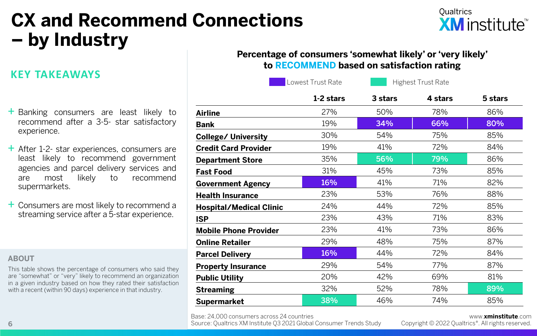# **CX and Recommend Connections – by Industry**

## **KEY TAKEAWAYS**

- + Banking consumers are least likely to recommend after a 3-5- star satisfactory experience.
- $+$  After 1-2- star experiences, consumers are least likely to recommend government agencies and parcel delivery services and are most likely to recommend supermarkets.
- + Consumers are most likely to recommend <sup>a</sup> streaming service after a 5-star experience.

#### **ABOUT**

This table shows the percentage of consumers who said they are "somewhat" or "very" likely to recommend an organization in a given industry based on how they rated their satisfaction with a recent (within 90 days) experience in that industry.

### **Percentage of consumers 'somewhat likely' or 'very likely' to RECOMMEND based on satisfaction rating**

|                                | Lowest Trust Rate | <b>Highest Trust Rate</b> |         |         |
|--------------------------------|-------------------|---------------------------|---------|---------|
|                                | 1-2 stars         | 3 stars                   | 4 stars | 5 stars |
| Airline                        | 27%               | 50%                       | 78%     | 86%     |
| Bank                           | 19%               | 34%                       | 66%     | 80%     |
| <b>College/ University</b>     | 30%               | 54%                       | 75%     | 85%     |
| <b>Credit Card Provider</b>    | 19%               | 41%                       | 72%     | 84%     |
| <b>Department Store</b>        | 35%               | 56%                       | 79%     | 86%     |
| Fast Food                      | 31%               | 45%                       | 73%     | 85%     |
| <b>Government Agency</b>       | 16%               | 41%                       | 71%     | 82%     |
| <b>Health Insurance</b>        | 23%               | 53%                       | 76%     | 88%     |
| <b>Hospital/Medical Clinic</b> | 24%               | 44%                       | 72%     | 85%     |
| ISP                            | 23%               | 43%                       | 71%     | 83%     |
| <b>Mobile Phone Provider</b>   | 23%               | 41%                       | 73%     | 86%     |
| Online Retailer                | 29%               | 48%                       | 75%     | 87%     |
| <b>Parcel Delivery</b>         | 16%               | 44%                       | 72%     | 84%     |
| <b>Property Insurance</b>      | 29%               | 54%                       | 77%     | 87%     |
| <b>Public Utility</b>          | 20%               | 42%                       | 69%     | 81%     |
| Streaming                      | 32%               | 52%                       | 78%     | 89%     |
| Supermarket                    | 38%               | 46%                       | 74%     | 85%     |

Base: 24,000 consumers across 24 countries

**6 6 Consumer Source: Qualtrics XM Institute Q3 2021 Global Consumer Trends Study copyright © 2022 Qualtrics®. All rights reserved.** 

### www.**xminstitute**.com<br>.Copyright © 2022 Oualtrics®. All rights reserved

Qualtrics

**XM** institute<sup>™</sup>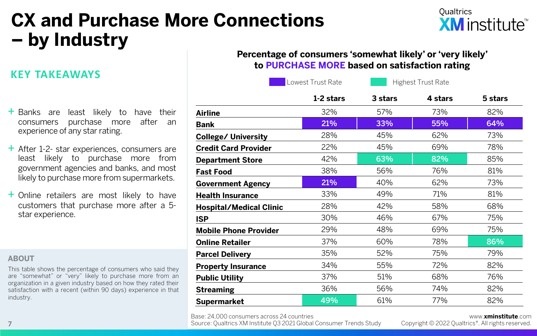# **CX and Purchase More Connections – by Industry**

## **Qualtrics XM** institute<sup>™</sup>

## **KEY TAKEAWAYS**

| $+$ Banks are least likely to have their |  |  |  |
|------------------------------------------|--|--|--|
| consumers purchase more after an         |  |  |  |
| experience of any star rating.           |  |  |  |

- $+$  After 1-2- star experiences, consumers are least likely to purchase more from government agencies and banks, and most likely to purchase more from supermarkets.
- + Online retailers are most likely to have customers that purchase more after a 5 star experience.

#### **ABOUT**

This table shows the percentage of consumers who said they are "somewhat" or "very" likely to purchase more from an organization in a given industry based on how they rated their satisfaction with a recent (within 90 days) experience in that industry.

| Percentage of consumers 'somewhat likely' or 'very likely' |  |
|------------------------------------------------------------|--|
| to PURCHASE MORE based on satisfaction rating              |  |

|                              | Lowest Trust Rate | <b>Highest Trust Rate</b> |         |         |
|------------------------------|-------------------|---------------------------|---------|---------|
|                              | 1-2 stars         | 3 stars                   | 4 stars | 5 stars |
| Airline                      | 32%               | 57%                       | 73%     | 82%     |
| Bank                         | 21%               | 33%                       | 55%     | 64%     |
| College/ University          | 28%               | 45%                       | 62%     | 73%     |
| <b>Credit Card Provider</b>  | 22%               | 45%                       | 69%     | 78%     |
| <b>Department Store</b>      | 42%               | 63%                       | 82%     | 85%     |
| Fast Food                    | 38%               | 56%                       | 76%     | 81%     |
| <b>Government Agency</b>     | 21%               | 40%                       | 62%     | 73%     |
| <b>Health Insurance</b>      | 33%               | 49%                       | 71%     | 81%     |
| Hospital/Medical Clinic      | 28%               | 42%                       | 58%     | 68%     |
| ISP                          | 30%               | 46%                       | 67%     | 75%     |
| <b>Mobile Phone Provider</b> | 29%               | 48%                       | 69%     | 75%     |
| Online Retailer              | 37%               | 60%                       | 78%     | 86%     |
| <b>Parcel Delivery</b>       | 35%               | 52%                       | 75%     | 79%     |
| <b>Property Insurance</b>    | 34%               | 55%                       | 72%     | 82%     |
| <b>Public Utility</b>        | 37%               | 51%                       | 68%     | 76%     |
| Streaming                    | 36%               | 56%                       | 74%     | 82%     |
| Supermarket                  | 49%               | 61%                       | 77%     | 82%     |

Base: 24,000 consumers across 24 countries

www.**xminstitute**.com<br>Copyright © 2022 Oualtrics®. All rights reserved.

Source: Qualtrics XM Institute Q3 2021 Global Consumer Trends Study **7** Copyright © 2022 Qualtrics®. All rights reserved.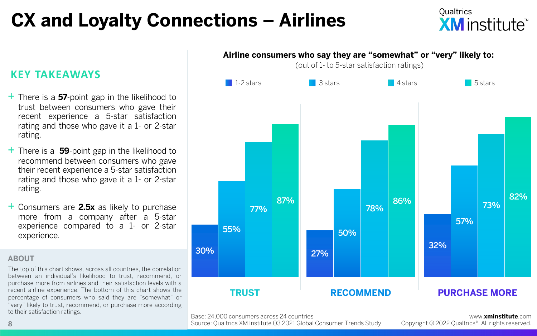# **CX and Loyalty Connections – Airlines**

**Oualtrics XM** institute

## **KEY TAKEAWAYS**

- + There is <sup>a</sup> **<sup>57</sup>**-point gap in the likelihood to trust between consumers who gave their recent experience a 5-star satisfaction rating and those who gave it a 1- or 2-star rating.
- + There is <sup>a</sup> **<sup>59</sup>**-point gap in the likelihood to recommend between consumers who gave their recent experience a 5-star satisfaction rating and those who gave it a 1- or 2-star rating.
- + Consumers are **2.5x** as likely to purchase more from a company after a 5-star experience compared to a 1- or 2-star experience.

#### **ABOUT**

Base: 24,000 consumers across 24 countries to their satisfaction ratings. www.**xminstitute**.com The top of this chart shows, across all countries, the correlation between an individual's likelihood to trust, recommend, or purchase more from airlines and their satisfaction levels with a recent airline experience. The bottom of this chart shows the percentage of consumers who said they are "somewhat" or "very" likely to trust, recommend, or purchase more according to their satisfaction ratings.



Source: Qualtrics XM Institute Q3 2021 Global Consumer Trends Study

Copyright © 2022 Qualtrics®. All rights reserved.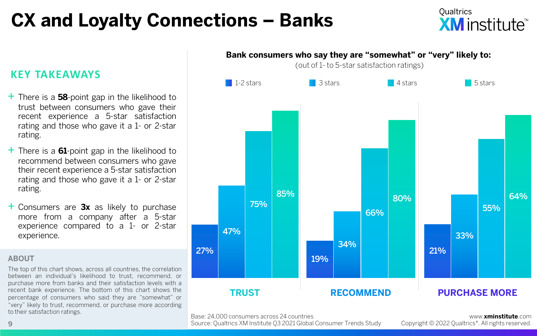# **CX and Loyalty Connections – Banks**

**Oualtrics XM** institute<sup>™</sup>

### **KEY TAKEAWAYS**

- + There is <sup>a</sup> **<sup>58</sup>**-point gap in the likelihood to trust between consumers who gave their recent experience a 5-star satisfaction rating and those who gave it a 1- or 2-star rating.
- + There is <sup>a</sup> **<sup>61</sup>**-point gap in the likelihood to recommend between consumers who gave their recent experience a 5-star satisfaction rating and those who gave it a 1- or 2-star rating.
- + Consumers are **3x** as likely to purchase more from a company after a 5-star experience compared to a 1- or 2-star experience.

#### **ABOUT**

The top of this chart shows, across all countries, the correlation between an individual's likelihood to trust, recommend, or purchase more from banks and their satisfaction levels with a recent bank experience. The bottom of this chart shows the percentage of consumers who said they are "somewhat" or "very" likely to trust, recommend, or purchase more according to their satisfaction ratings.



Base: 24,000 consumers across 24 countries

Source: Qualtrics XM Institute Q3 2021 Global Consumer Trends Study

www.**xminstitute**.com Copyright © 2022 Qualtrics®. All rights reserved.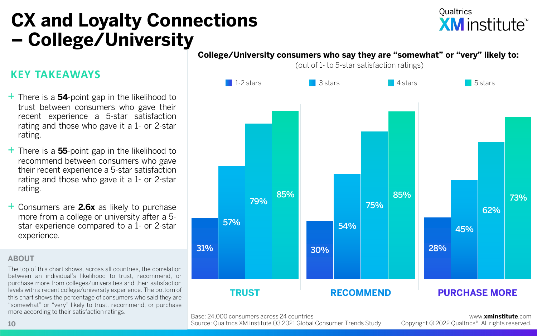## **CX and Loyalty Connections – College/University**

## **Qualtrics XM** institute<sup>™</sup>

#### **College/University consumers who say they are "somewhat" or "very" likely to:**

(out of 1- to 5-star satisfaction ratings)



## + There is <sup>a</sup> **<sup>54</sup>**-point gap in the likelihood to

**KEY TAKEAWAYS**

- trust between consumers who gave their recent experience a 5-star satisfaction rating and those who gave it a 1- or 2-star rating.
- + There is <sup>a</sup> **<sup>55</sup>**-point gap in the likelihood to recommend between consumers who gave their recent experience a 5-star satisfaction rating and those who gave it a 1- or 2-star rating.
- + Consumers are **2.6x** as likely to purchase more from a college or university after a 5 star experience compared to a 1- or 2-star experience.

### **ABOUT**

The top of this chart shows, across all countries, the correlation between an individual's likelihood to trust, recommend, or purchase more from colleges/universities and their satisfaction levels with a recent college/university experience. The bottom of this chart shows the percentage of consumers who said they are "somewhat" or "very" likely to trust, recommend, or purchase more according to their satisfaction ratings.

Base: 24,000 consumers across 24 countries

Source: Qualtrics XM Institute Q3 2021 Global Consumer Trends Study

www.**xminstitute**.com Copyright © 2022 Qualtrics®. All rights reserved.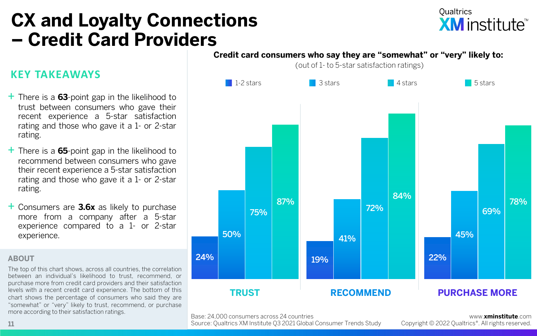## **CX and Loyalty Connections – Credit Card Providers**

## **Qualtrics XM** institute<sup>™</sup>

### **KEY TAKEAWAYS**

- + There is <sup>a</sup> **<sup>63</sup>**-point gap in the likelihood to trust between consumers who gave their recent experience a 5-star satisfaction rating and those who gave it a 1- or 2-star rating.
- + There is <sup>a</sup> **<sup>65</sup>**-point gap in the likelihood to recommend between consumers who gave their recent experience a 5-star satisfaction rating and those who gave it a 1- or 2-star rating.
- + Consumers are **3.6x** as likely to purchase more from a company after a 5-star experience compared to a 1- or 2-star experience.

#### **ABOUT**

The top of this chart shows, across all countries, the correlation between an individual's likelihood to trust, recommend, or purchase more from credit card providers and their satisfaction levels with a recent credit card experience. The bottom of this chart shows the percentage of consumers who said they are "somewhat" or "very" likely to trust, recommend, or purchase more according to their satisfaction ratings.



Base: 24,000 consumers across 24 countries

Source: Qualtrics XM Institute Q3 2021 Global Consumer Trends Study

www.**xminstitute**.com Copyright © 2022 Qualtrics®. All rights reserved.

**Credit card consumers who say they are "somewhat" or "very" likely to:**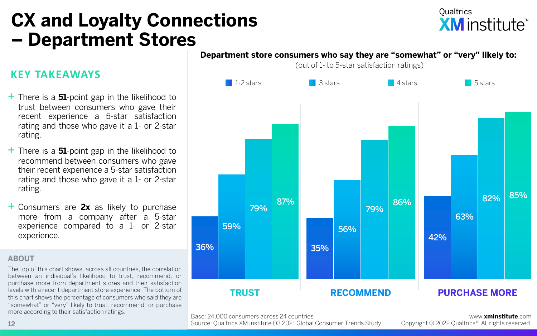## **CX and Loyalty Connections – Department Stores**

## **Qualtrics XM** institute<sup>™</sup>

## **KEY TAKEAWAYS**

- + There is <sup>a</sup> **<sup>51</sup>**-point gap in the likelihood to trust between consumers who gave their recent experience a 5-star satisfaction rating and those who gave it a 1- or 2-star rating.
- + There is <sup>a</sup> **<sup>51</sup>**-point gap in the likelihood to recommend between consumers who gave their recent experience a 5-star satisfaction rating and those who gave it a 1- or 2-star rating.
- + Consumers are **2x** as likely to purchase more from a company after a 5-star experience compared to a 1- or 2-star experience.

#### **ABOUT**

The top of this chart shows, across all countries, the correlation between an individual's likelihood to trust, recommend, or purchase more from department stores and their satisfaction levels with a recent department store experience. The bottom of this chart shows the percentage of consumers who said they are "somewhat" or "very" likely to trust, recommend, or purchase more according to their satisfaction ratings.



Base: 24,000 consumers across 24 countries

Source: Qualtrics XM Institute Q3 2021 Global Consumer Trends Study

www.**xminstitute**.com Copyright © 2022 Qualtrics®. All rights reserved.

(out of 1- to 5-star satisfaction ratings)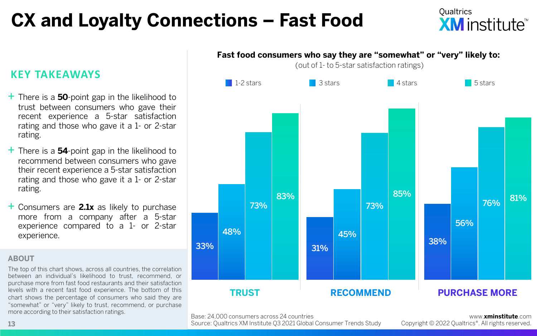# **CX and Loyalty Connections – Fast Food**

**Oualtrics XM** institute

## **KEY TAKEAWAYS**

- + There is <sup>a</sup> **<sup>50</sup>**-point gap in the likelihood to trust between consumers who gave their recent experience a 5-star satisfaction rating and those who gave it a 1- or 2-star rating.
- + There is <sup>a</sup> **<sup>54</sup>**-point gap in the likelihood to recommend between consumers who gave their recent experience a 5-star satisfaction rating and those who gave it a 1- or 2-star rating.
- + Consumers are **2.1x** as likely to purchase more from a company after a 5-star experience compared to a 1- or 2-star experience.

#### **ABOUT**

The top of this chart shows, across all countries, the correlation between an individual's likelihood to trust, recommend, or purchase more from fast food restaurants and their satisfaction levels with a recent fast food experience. The bottom of this chart shows the percentage of consumers who said they are "somewhat" or "very" likely to trust, recommend, or purchase more according to their satisfaction ratings.



Base: 24,000 consumers across 24 countries

Source: Qualtrics XM Institute Q3 2021 Global Consumer Trends Study

www.**xminstitute**.com Copyright © 2022 Qualtrics®. All rights reserved.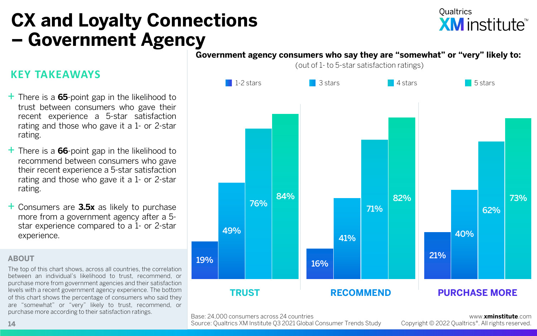## **CX and Loyalty Connections – Government Agency**

## **Qualtrics XM** institute<sup>™</sup>

#### **Government agency consumers who say they are "somewhat" or "very" likely to:**

(out of 1- to 5-star satisfaction ratings)



Base: 24,000 consumers across 24 countries

Source: Qualtrics XM Institute Q3 2021 Global Consumer Trends Study

www.**xminstitute**.com Copyright © 2022 Qualtrics®. All rights reserved.

### **KEY TAKEAWAYS**

- + There is <sup>a</sup> **<sup>65</sup>**-point gap in the likelihood to trust between consumers who gave their recent experience a 5-star satisfaction rating and those who gave it a 1- or 2-star rating.
- + There is <sup>a</sup> **<sup>66</sup>**-point gap in the likelihood to recommend between consumers who gave their recent experience a 5-star satisfaction rating and those who gave it a 1- or 2-star rating.
- + Consumers are **3.5x** as likely to purchase more from a government agency after a 5 star experience compared to a 1- or 2-star experience.

#### **ABOUT**

The top of this chart shows, across all countries, the correlation between an individual's likelihood to trust, recommend, or purchase more from government agencies and their satisfaction levels with a recent government agency experience. The bottom of this chart shows the percentage of consumers who said they are "somewhat" or "very" likely to trust, recommend, or purchase more according to their satisfaction ratings.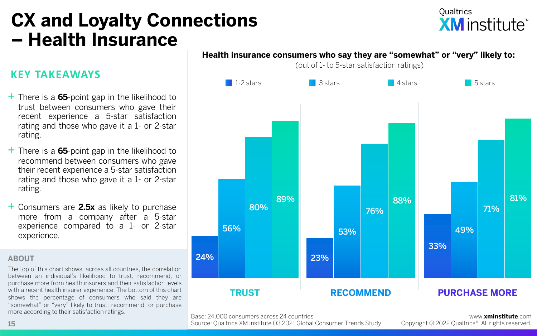## **CX and Loyalty Connections – Health Insurance**

### **KEY TAKEAWAYS**

- + There is <sup>a</sup> **<sup>65</sup>**-point gap in the likelihood to trust between consumers who gave their recent experience a 5-star satisfaction rating and those who gave it a 1- or 2-star rating.
- + There is <sup>a</sup> **<sup>65</sup>**-point gap in the likelihood to recommend between consumers who gave their recent experience a 5-star satisfaction rating and those who gave it a 1- or 2-star rating.
- + Consumers are **2.5x** as likely to purchase more from a company after a 5-star experience compared to a 1- or 2-star experience.

#### **ABOUT**

The top of this chart shows, across all countries, the correlation between an individual's likelihood to trust, recommend, or purchase more from health insurers and their satisfaction levels with a recent health insurer experience. The bottom of this chart shows the percentage of consumers who said they are "somewhat" or "very" likely to trust, recommend, or purchase more according to their satisfaction ratings.



**Health insurance consumers who say they are "somewhat" or "very" likely to:** 

(out of 1- to 5-star satisfaction ratings)

Base: 24,000 consumers across 24 countries

Source: Qualtrics XM Institute Q3 2021 Global Consumer Trends Study

www.**xminstitute**.com Copyright © 2022 Qualtrics®. All rights reserved.

**Qualtrics XM** institute<sup>™</sup>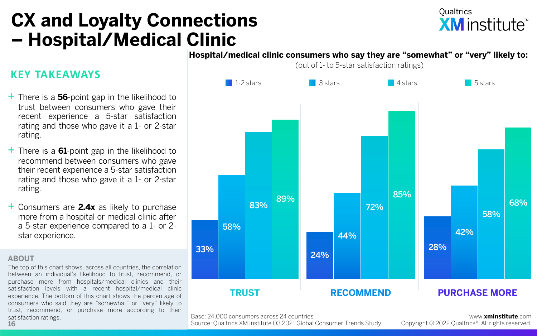## **CX and Loyalty Connections – Hospital/Medical Clinic**

## **Qualtrics XM** institute<sup>\*\*</sup>

## **KEY TAKEAWAYS**

- + There is <sup>a</sup> **<sup>56</sup>**-point gap in the likelihood to trust between consumers who gave their recent experience a 5-star satisfaction rating and those who gave it a 1- or 2-star rating.
- + There is <sup>a</sup> **<sup>61</sup>**-point gap in the likelihood to recommend between consumers who gave their recent experience a 5-star satisfaction rating and those who gave it a 1- or 2-star rating.
- + Consumers are **2.4x** as likely to purchase more from a hospital or medical clinic after a 5-star experience compared to a 1- or 2 star experience.

#### **ABOUT**

The top of this chart shows, across all countries, the correlation between an individual's likelihood to trust, recommend, or purchase more from hospitals/medical clinics and their satisfaction levels with a recent hospital/medical clinic experience. The bottom of this chart shows the percentage of consumers who said they are "somewhat" or "very" likely to trust, recommend, or purchase more according to their satisfaction ratings. **16**

#### **Hospital/medical clinic consumers who say they are "somewhat" or "very" likely to:**

(out of 1- to 5-star satisfaction ratings)



Base: 24,000 consumers across 24 countries

Source: Qualtrics XM Institute Q3 2021 Global Consumer Trends Study

www.**xminstitute**.com Copyright © 2022 Qualtrics®. All rights reserved.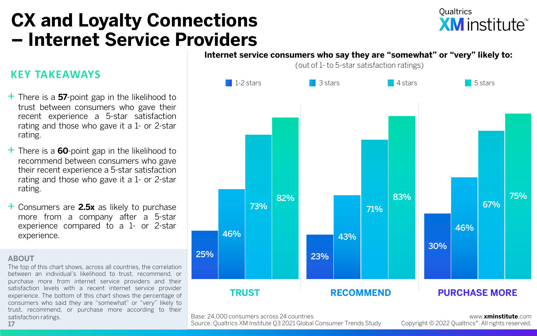## **CX and Loyalty Connections – Internet Service Providers**

## **Qualtrics XM** institute<sup>™</sup>

## **KEY TAKEAWAYS**

- + There is <sup>a</sup> **<sup>57</sup>**-point gap in the likelihood to trust between consumers who gave their recent experience a 5-star satisfaction rating and those who gave it a 1- or 2-star rating.
- + There is <sup>a</sup> **<sup>60</sup>**-point gap in the likelihood to recommend between consumers who gave their recent experience a 5-star satisfaction rating and those who gave it a 1- or 2-star rating.
- + Consumers are **2.5x** as likely to purchase more from a company after a 5-star experience compared to a 1- or 2-star experience.

#### **ABOUT**

The top of this chart shows, across all countries, the correlation between an individual's likelihood to trust, recommend, or purchase more from internet service providers and their satisfaction levels with a recent internet service provider experience. The bottom of this chart shows the percentage of consumers who said they are "somewhat" or "very" likely to trust, recommend, or purchase more according to their satisfaction ratings. **17**

#### **Internet service consumers who say they are "somewhat" or "very" likely to:**

(out of 1- to 5-star satisfaction ratings)



Base: 24,000 consumers across 24 countries

Source: Qualtrics XM Institute Q3 2021 Global Consumer Trends Study

www.**xminstitute**.com Copyright © 2022 Qualtrics®. All rights reserved.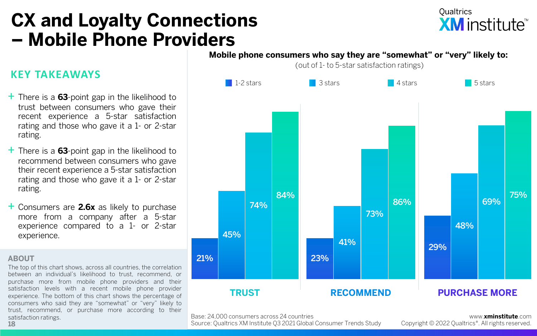## **CX and Loyalty Connections – Mobile Phone Providers**

## **Qualtrics XM** institute<sup>™</sup>

### **KEY TAKEAWAYS**

- + There is <sup>a</sup> **<sup>63</sup>**-point gap in the likelihood to trust between consumers who gave their recent experience a 5-star satisfaction rating and those who gave it a 1- or 2-star rating.
- + There is <sup>a</sup> **<sup>63</sup>**-point gap in the likelihood to recommend between consumers who gave their recent experience a 5-star satisfaction rating and those who gave it a 1- or 2-star rating.
- + Consumers are **2.6x** as likely to purchase more from a company after a 5-star experience compared to a 1- or 2-star experience.

#### **ABOUT**

The top of this chart shows, across all countries, the correlation between an individual's likelihood to trust, recommend, or purchase more from mobile phone providers and their satisfaction levels with a recent mobile phone provider experience. The bottom of this chart shows the percentage of consumers who said they are "somewhat" or "very" likely to trust, recommend, or purchase more according to their satisfaction ratings.

#### **Mobile phone consumers who say they are "somewhat" or "very" likely to:**

(out of 1- to 5-star satisfaction ratings)



Base: 24,000 consumers across 24 countries

Source: Qualtrics XM Institute Q3 2021 Global Consumer Trends Study

www.**xminstitute**.com Copyright © 2022 Qualtrics®. All rights reserved.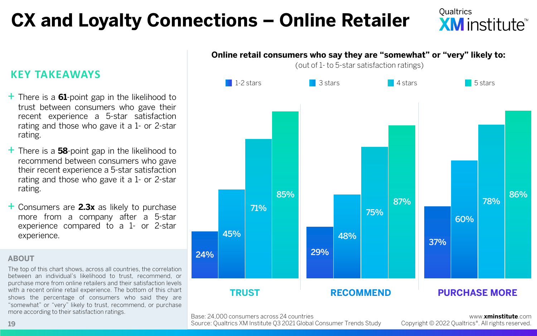# **CX and Loyalty Connections – Online Retailer**

### **KEY TAKEAWAYS**

- + There is <sup>a</sup> **<sup>61</sup>**-point gap in the likelihood to trust between consumers who gave their recent experience a 5-star satisfaction rating and those who gave it a 1- or 2-star rating.
- + There is <sup>a</sup> **<sup>58</sup>**-point gap in the likelihood to recommend between consumers who gave their recent experience a 5-star satisfaction rating and those who gave it a 1- or 2-star rating.
- + Consumers are **2.3x** as likely to purchase more from a company after a 5-star experience compared to a 1- or 2-star experience.

#### **ABOUT**

The top of this chart shows, across all countries, the correlation between an individual's likelihood to trust, recommend, or purchase more from online retailers and their satisfaction levels with a recent online retail experience. The bottom of this chart shows the percentage of consumers who said they are "somewhat" or "very" likely to trust, recommend, or purchase more according to their satisfaction ratings.



Base: 24,000 consumers across 24 countries

Source: Qualtrics XM Institute Q3 2021 Global Consumer Trends Study

www.**xminstitute**.com Copyright © 2022 Qualtrics®. All rights reserved.

**Oualtrics** 

**XM** institute<sup>"</sup>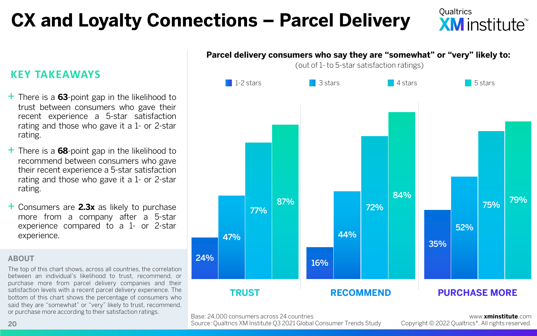# **CX and Loyalty Connections – Parcel Delivery**

**Oualtrics XM** institute™

## **KEY TAKEAWAYS**

- + There is <sup>a</sup> **<sup>63</sup>**-point gap in the likelihood to trust between consumers who gave their recent experience a 5-star satisfaction rating and those who gave it a 1- or 2-star rating.
- + There is <sup>a</sup> **<sup>68</sup>**-point gap in the likelihood to recommend between consumers who gave their recent experience a 5-star satisfaction rating and those who gave it a 1- or 2-star rating.
- + Consumers are **2.3x** as likely to purchase more from a company after a 5-star experience compared to a 1- or 2-star experience.

#### **ABOUT**

The top of this chart shows, across all countries, the correlation between an individual's likelihood to trust, recommend, or purchase more from parcel delivery companies and their satisfaction levels with a recent parcel delivery experience. The bottom of this chart shows the percentage of consumers who said they are "somewhat" or "very" likely to trust, recommend, or purchase more according to their satisfaction ratings.



**Parcel delivery consumers who say they are "somewhat" or "very" likely to:** 

Base: 24,000 consumers across 24 countries

Source: Qualtrics XM Institute Q3 2021 Global Consumer Trends Study

www.**xminstitute**.com Copyright © 2022 Qualtrics®. All rights reserved.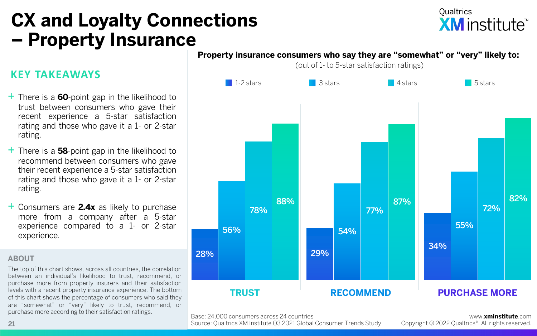## **CX and Loyalty Connections – Property Insurance**

## **Qualtrics XM** institute<sup>™</sup>

## **KEY TAKEAWAYS**

- + There is <sup>a</sup> **<sup>60</sup>**-point gap in the likelihood to trust between consumers who gave their recent experience a 5-star satisfaction rating and those who gave it a 1- or 2-star rating.
- + There is <sup>a</sup> **<sup>58</sup>**-point gap in the likelihood to recommend between consumers who gave their recent experience a 5-star satisfaction rating and those who gave it a 1- or 2-star rating.
- + Consumers are **2.4x** as likely to purchase more from a company after a 5-star experience compared to a 1- or 2-star experience.

#### **ABOUT**

The top of this chart shows, across all countries, the correlation between an individual's likelihood to trust, recommend, or purchase more from property insurers and their satisfaction levels with a recent property insurance experience. The bottom of this chart shows the percentage of consumers who said they are "somewhat" or "very" likely to trust, recommend, or purchase more according to their satisfaction ratings.



**Property insurance consumers who say they are "somewhat" or "very" likely to:** 

Base: 24,000 consumers across 24 countries

Source: Qualtrics XM Institute Q3 2021 Global Consumer Trends Study

www.**xminstitute**.com Copyright © 2022 Qualtrics®. All rights reserved.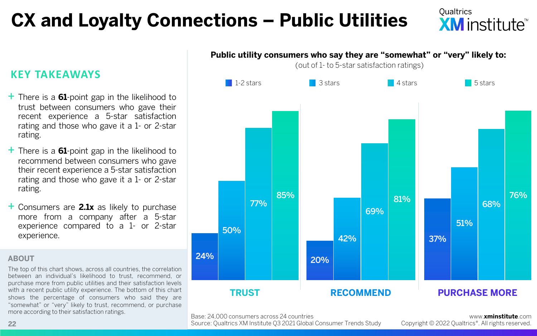# **CX and Loyalty Connections – Public Utilities**

## **Oualtrics XM** institute<sup>™</sup>

## **KEY TAKEAWAYS**

- + There is <sup>a</sup> **<sup>61</sup>**-point gap in the likelihood to trust between consumers who gave their recent experience a 5-star satisfaction rating and those who gave it a 1- or 2-star rating.
- + There is <sup>a</sup> **<sup>61</sup>**-point gap in the likelihood to recommend between consumers who gave their recent experience a 5-star satisfaction rating and those who gave it a 1- or 2-star rating.
- + Consumers are **2.1x** as likely to purchase more from a company after a 5-star experience compared to a 1- or 2-star experience.

#### **ABOUT**

The top of this chart shows, across all countries, the correlation between an individual's likelihood to trust, recommend, or purchase more from public utilities and their satisfaction levels with a recent public utility experience. The bottom of this chart shows the percentage of consumers who said they are "somewhat" or "very" likely to trust, recommend, or purchase more according to their satisfaction ratings.



Base: 24,000 consumers across 24 countries

Source: Qualtrics XM Institute Q3 2021 Global Consumer Trends Study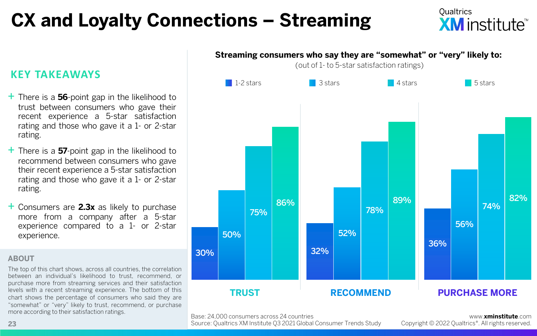# **CX and Loyalty Connections – Streaming**

## **Oualtrics XM** institute<sup>™</sup>

## **KEY TAKEAWAYS**

- + There is <sup>a</sup> **<sup>56</sup>**-point gap in the likelihood to trust between consumers who gave their recent experience a 5-star satisfaction rating and those who gave it a 1- or 2-star rating.
- + There is <sup>a</sup> **<sup>57</sup>**-point gap in the likelihood to recommend between consumers who gave their recent experience a 5-star satisfaction rating and those who gave it a 1- or 2-star rating.
- + Consumers are **2.3x** as likely to purchase more from a company after a 5-star experience compared to a 1- or 2-star experience.

#### **ABOUT**

The top of this chart shows, across all countries, the correlation between an individual's likelihood to trust, recommend, or purchase more from streaming services and their satisfaction levels with a recent streaming experience. The bottom of this chart shows the percentage of consumers who said they are "somewhat" or "very" likely to trust, recommend, or purchase more according to their satisfaction ratings.



**Streaming consumers who say they are "somewhat" or "very" likely to:** 

Base: 24,000 consumers across 24 countries

Source: Qualtrics XM Institute Q3 2021 Global Consumer Trends Study

www.**xminstitute**.com Copyright © 2022 Qualtrics®. All rights reserved.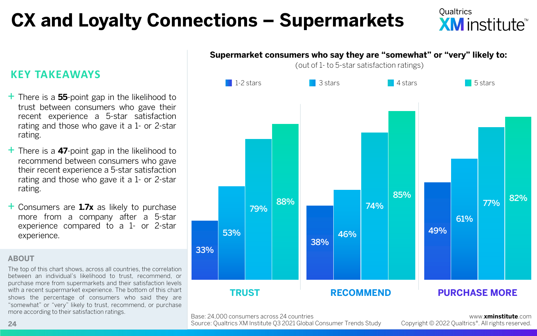# **CX and Loyalty Connections – Supermarkets**

## **Oualtrics XM** institute<sup>™</sup>

## **KEY TAKEAWAYS**

- + There is <sup>a</sup> **<sup>55</sup>**-point gap in the likelihood to trust between consumers who gave their recent experience a 5-star satisfaction rating and those who gave it a 1- or 2-star rating.
- + There is <sup>a</sup> **<sup>47</sup>**-point gap in the likelihood to recommend between consumers who gave their recent experience a 5-star satisfaction rating and those who gave it a 1- or 2-star rating.
- + Consumers are **1.7x** as likely to purchase more from a company after a 5-star experience compared to a 1- or 2-star experience.

#### **ABOUT**

The top of this chart shows, across all countries, the correlation between an individual's likelihood to trust, recommend, or purchase more from supermarkets and their satisfaction levels with a recent supermarket experience. The bottom of this chart shows the percentage of consumers who said they are "somewhat" or "very" likely to trust, recommend, or purchase more according to their satisfaction ratings.



Base: 24,000 consumers across 24 countries

Source: Qualtrics XM Institute Q3 2021 Global Consumer Trends Study

www.**xminstitute**.com Copyright © 2022 Qualtrics®. All rights reserved.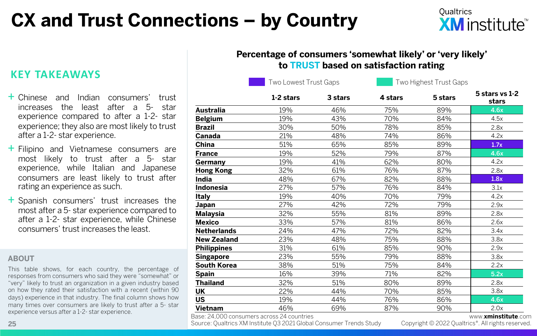# **CX and Trust Connections – by Country**

### **Percentage of consumers 'somewhat likely' or 'very likely' to TRUST based on satisfaction rating**

Two Lowest Trust Gaps Two Highest Trust Gaps

|                    | 1-2 stars | 3 stars | 4 stars | 5 stars | 5 stars vs 1-2<br>stars |
|--------------------|-----------|---------|---------|---------|-------------------------|
| Australia          | 19%       | 46%     | 75%     | 89%     | 4.6x                    |
| <b>Belgium</b>     | 19%       | 43%     | 70%     | 84%     | 4.5x                    |
| <b>Brazil</b>      | 30%       | 50%     | 78%     | 85%     | 2.8x                    |
| Canada             | 21%       | 48%     | 74%     | 86%     | 4.2x                    |
| China              | 51%       | 65%     | 85%     | 89%     | 1.7x                    |
| <b>France</b>      | 19%       | 52%     | 79%     | 87%     | 4.6x                    |
| Germany            | 19%       | 41%     | 62%     | 80%     | 4.2x                    |
| Hong Kong          | 32%       | 61%     | 76%     | 87%     | 2.8x                    |
| <b>India</b>       | 48%       | 67%     | 82%     | 88%     | 1.8x                    |
| <b>Indonesia</b>   | 27%       | 57%     | 76%     | 84%     | 3.1x                    |
| Italy              | 19%       | 40%     | 70%     | 79%     | 4.2x                    |
| Japan              | 27%       | 42%     | 72%     | 79%     | 2.9x                    |
| <b>Malaysia</b>    | 32%       | 55%     | 81%     | 89%     | 2.8x                    |
| <b>Mexico</b>      | 33%       | 57%     | 81%     | 86%     | 2.6x                    |
| <b>Netherlands</b> | 24%       | 47%     | 72%     | 82%     | 3.4x                    |
| <b>New Zealand</b> | 23%       | 48%     | 75%     | 88%     | 3.8x                    |
| <b>Philippines</b> | 31%       | 61%     | 85%     | 90%     | 2.9x                    |
| <b>Singapore</b>   | 23%       | 55%     | 79%     | 88%     | 3.8x                    |
| <b>South Korea</b> | 38%       | 51%     | 75%     | 84%     | 2.2x                    |
| <b>Spain</b>       | 16%       | 39%     | 71%     | 82%     | 5.2x                    |
| <b>Thailand</b>    | 32%       | 51%     | 80%     | 89%     | 2.8x                    |
| UK                 | 22%       | 44%     | 70%     | 85%     | 3.8x                    |
| <b>US</b>          | 19%       | 44%     | 76%     | 86%     | 4.6x                    |
| Vietnam            | 46%       | 69%     | 87%     | 90%     | 2.0x                    |

Source: Qualtrics XM Institute Q3 2021 Global Consumer Trends Study **25** Copyright © 2022 Qualtrics®. All rights reserved.

www.**xminstitute**.com<br>.Copyright © 2022 Qualtrics®. All rights reserved

**KEY TAKEAWAYS**

- + Chinese and Indian consumers' trust increases the least after a 5- star experience compared to after a 1-2- star experience; they also are most likely to trust after a 1-2- star experience.
- + Filipino and Vietnamese consumers are most likely to trust after a 5- star experience, while Italian and Japanese consumers are least likely to trust after rating an experience as such.
- + Spanish consumers' trust increases the most after a 5- star experience compared to after a 1-2- star experience, while Chinese consumers' trust increases the least.

#### **ABOUT**

This table shows, for each country, the percentage of responses from consumers who said they were "somewhat" or "very" likely to trust an organization in a given industry based on how they rated their satisfaction with a recent (within 90 days) experience in that industry. The final column shows how many times over consumers are likely to trust after a 5- star experience versus after a 1-2- star experience.<br>Base: 24,000 consumers across 24 countries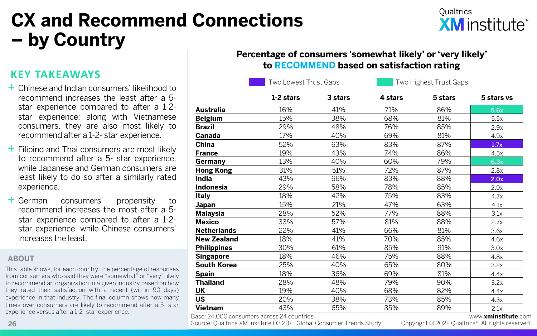# **CX and Recommend Connections – by Country**

## **Oualtrics XM** institute<sup>\*\*</sup>

## **KEY TAKEAWAYS**

- + Chinese and Indian consumers' likelihood to recommend increases the least after a 5 star experience compared to after a 1-2 star experience; along with Vietnamese consumers, they are also most likely to recommend after a 1-2- star experience.
- $+$  Filipino and Thai consumers are most likely to recommend after a 5- star experience, while Japanese and German consumers are least likely to do so after a similarly rated experience.
- + German consumers' propensity to recommend increases the most after a 5 star experience compared to after a 1-2 star experience, while Chinese consumers' increases the least.

#### **ABOUT**

This table shows, for each country, the percentage of responses from consumers who said they were "somewhat" or "very" likely to recommend an organization in a given industry based on how they rated their satisfaction with a recent (within 90 days) experience in that industry. The final column shows how many times over consumers are likely to recommend after a 5- star experience versus after a 1-2- star experience.<br>Base: 24,000 consumers across 24 countries

### **Percentage of consumers 'somewhat likely' or 'very likely' to RECOMMEND based on satisfaction rating**

Two Lowest Trust Gaps Two Highest Trust Gaps

|                    | 1-2 stars | 3 stars | 4 stars | 5 stars | 5 stars vs |
|--------------------|-----------|---------|---------|---------|------------|
| Australia          | 16%       | 41%     | 71%     | 86%     | 5.6x       |
| <b>Belgium</b>     | 15%       | 38%     | 68%     | 81%     | 5.5x       |
| <b>Brazil</b>      | 29%       | 48%     | 76%     | 85%     | 2.9x       |
| Canada             | 17%       | 40%     | 69%     | 81%     | 4.9x       |
| China              | 52%       | 63%     | 83%     | 87%     | 1.7x       |
| <b>France</b>      | 19%       | 43%     | 74%     | 86%     | 4.5x       |
| Germany            | 13%       | 40%     | 60%     | 79%     | 6.3x       |
| <b>Hong Kong</b>   | 31%       | 51%     | 72%     | 87%     | 2.8x       |
| India              | 43%       | 66%     | 83%     | 88%     | 2.0x       |
| <b>Indonesia</b>   | 29%       | 58%     | 78%     | 85%     | 2.9x       |
| <b>Italy</b>       | 18%       | 42%     | 75%     | 83%     | 4.7x       |
| Japan              | 15%       | 21%     | 47%     | 63%     | 4.1x       |
| <b>Malaysia</b>    | 28%       | 52%     | 77%     | 88%     | 3.1x       |
| <b>Mexico</b>      | 33%       | 57%     | 81%     | 88%     | 2.7x       |
| <b>Netherlands</b> | 22%       | 41%     | 66%     | 81%     | 3.6x       |
| <b>New Zealand</b> | 18%       | 41%     | 70%     | 85%     | 4.6x       |
| <b>Philippines</b> | 30%       | 61%     | 85%     | 91%     | 3.0x       |
| <b>Singapore</b>   | 18%       | 46%     | 75%     | 88%     | 4.8x       |
| <b>South Korea</b> | 25%       | 40%     | 65%     | 80%     | 3.2x       |
| <b>Spain</b>       | 18%       | 36%     | 69%     | 81%     | 4.4x       |
| <b>Thailand</b>    | 28%       | 48%     | 79%     | 90%     | 3.2x       |
| UK                 | 19%       | 40%     | 68%     | 82%     | 4.4x       |
| <b>US</b>          | 20%       | 38%     | 73%     | 85%     | 4.3x       |
| Vietnam            | 43%       | 65%     | 85%     | 89%     | 2.1x       |
|                    |           |         |         |         |            |

Source: Qualtrics XM Institute Q3 2021 Global Consumer Trends Study **26** Copyright © 2022 Qualtrics®. All rights reserved.

### www.**xminstitute**.com<br>Copyright © 2022 Oualtrics®. All rights reserved.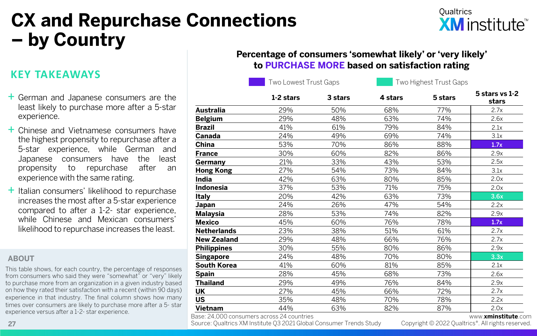# **CX and Repurchase Connections – by Country**

## **Oualtrics XM** institute<sup>™</sup>

### **KEY TAKEAWAYS**

- + German and Japanese consumers are the least likely to purchase more after a 5-star experience.
- + Chinese and Vietnamese consumers have the highest propensity to repurchase after a 5-star experience, while German and Japanese consumers have the least propensity to repurchase after an experience with the same rating.
- $+$  Italian consumers' likelihood to repurchase increases the most after a 5-star experience compared to after a 1-2- star experience, while Chinese and Mexican consumers' likelihood to repurchase increases the least.

#### **ABOUT**

This table shows, for each country, the percentage of responses from consumers who said they were "somewhat" or "very" likely to purchase more from an organization in a given industry based on how they rated their satisfaction with a recent (within 90 days) experience in that industry. The final column shows how many times over consumers are likely to purchase more after a 5- star experience versus after a 1-2- star experience.<br>Base: 24,000 consumers across 24 countries

### **Percentage of consumers 'somewhat likely' or 'very likely' to PURCHASE MORE based on satisfaction rating**

Two Lowest Trust Gaps Two Highest Trust Gaps

|                    | 1-2 stars | 3 stars | 4 stars | 5 stars | 5 stars vs 1-2<br>stars |
|--------------------|-----------|---------|---------|---------|-------------------------|
| Australia          | 29%       | 50%     | 68%     | 77%     | 2.7x                    |
| <b>Belgium</b>     | 29%       | 48%     | 63%     | 74%     | 2.6x                    |
| <b>Brazil</b>      | 41%       | 61%     | 79%     | 84%     | 2.1x                    |
| Canada             | 24%       | 49%     | 69%     | 74%     | 3.1x                    |
| China              | 53%       | 70%     | 86%     | 88%     | 1.7x                    |
| <b>France</b>      | 30%       | 60%     | 82%     | 86%     | 2.9x                    |
| Germany            | 21%       | 33%     | 43%     | 53%     | 2.5x                    |
| <b>Hong Kong</b>   | 27%       | 54%     | 73%     | 84%     | 3.1x                    |
| India              | 42%       | 63%     | 80%     | 85%     | 2.0x                    |
| Indonesia          | 37%       | 53%     | 71%     | 75%     | 2.0x                    |
| Italy              | 20%       | 42%     | 63%     | 73%     | 3.6x                    |
| Japan              | 24%       | 26%     | 47%     | 54%     | 2.2x                    |
| <b>Malaysia</b>    | 28%       | 53%     | 74%     | 82%     | 2.9x                    |
| <b>Mexico</b>      | 45%       | 60%     | 76%     | 78%     | 1.7x                    |
| <b>Netherlands</b> | 23%       | 38%     | 51%     | 61%     | 2.7x                    |
| <b>New Zealand</b> | 29%       | 48%     | 66%     | 76%     | 2.7x                    |
| <b>Philippines</b> | 30%       | 55%     | 80%     | 86%     | 2.9x                    |
| <b>Singapore</b>   | 24%       | 48%     | 70%     | 80%     | 3.3x                    |
| <b>South Korea</b> | 41%       | 60%     | 81%     | 85%     | 2.1x                    |
| <b>Spain</b>       | 28%       | 45%     | 68%     | 73%     | 2.6x                    |
| <b>Thailand</b>    | 29%       | 49%     | 76%     | 84%     | 2.9x                    |
| UK                 | 27%       | 45%     | 66%     | 72%     | 2.7x                    |
| <b>US</b>          | 35%       | 48%     | 70%     | 78%     | 2.2x                    |
| Vietnam            | 44%       | 63%     | 82%     | 87%     | 2.0x                    |
|                    |           |         |         |         |                         |

**27** Cource: Qualtrics XM Institute Q3 2021 Global Consumer Trends Study Copyright © 2022 Qualtrics®. All rights reserved.

www.**xminstitute**.com<br>.Copyright © 2022 Oualtrics®. All rights reserved